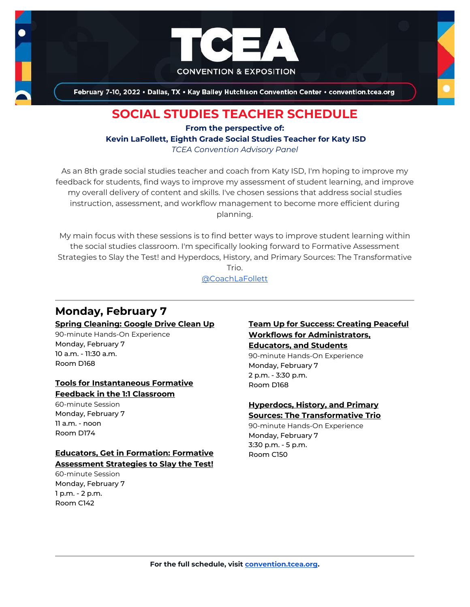

February 7-10, 2022 . Dallas, TX . Kay Bailey Hutchison Convention Center . convention.tcea.org

# **SOCIAL STUDIES TEACHER SCHEDULE**

**From the perspective of: Kevin LaFollett, Eighth Grade Social Studies Teacher for Katy ISD** *TCEA Convention Advisory Panel*

As an 8th grade social studies teacher and coach from Katy ISD, I'm hoping to improve my feedback for students, find ways to improve my assessment of student learning, and improve my overall delivery of content and skills. I've chosen sessions that address social studies instruction, assessment, and workflow management to become more efficient during planning.

My main focus with these sessions is to find better ways to improve student learning within the social studies classroom. I'm specifically looking forward to Formative Assessment Strategies to Slay the Test! and Hyperdocs, History, and Primary Sources: The Transformative Trio.

[@CoachLaFollett](https://twitter.com/CoachLaFollett)

# **Monday, February 7**

**[Spring Cleaning: Google Drive Clean Up](https://register.tcea.org/2022/session_list.cfm?session_key=0240F647-F04D-A206-2B64-3405FBBB4945&session_date=Monday,%20Feb%2007,%202022)**

90-minute Hands-On Experience Monday, February 7 10 a.m. - 11:30 a.m. Room D168

#### **[Tools for Instantaneous Formative](https://register.tcea.org/2022/session_list.cfm?session_key=0243674D-F04D-A206-2B64-09403802B23B&session_date=Monday,%20Feb%2007,%202022)  [Feedback in the 1:1 Classroom](https://register.tcea.org/2022/session_list.cfm?session_key=0243674D-F04D-A206-2B64-09403802B23B&session_date=Monday,%20Feb%2007,%202022)**

60-minute Session Monday, February 7  $11$  a.m. - noon Room D174

### **[Educators, Get in Formation: Formative](https://register.tcea.org/2022/session_list.cfm?session_key=023DD79B-F04D-A206-2B64-93C13ECF81D4&session_date=Monday,%20Feb%2007,%202022)  [Assessment Strategies to Slay the Test!](https://register.tcea.org/2022/session_list.cfm?session_key=023DD79B-F04D-A206-2B64-93C13ECF81D4&session_date=Monday,%20Feb%2007,%202022)**

60-minute Session Monday, February 7 1 p.m. - 2 p.m. Room C142

#### **[Team Up for Success: Creating Peaceful](https://register.tcea.org/2022/session_list.cfm?session_key=0241DB48-F04D-A206-2B64-2CC5A54E4167&session_date=Monday,%20Feb%2007,%202022)  [Workflows for Administrators,](https://register.tcea.org/2022/session_list.cfm?session_key=0241DB48-F04D-A206-2B64-2CC5A54E4167&session_date=Monday,%20Feb%2007,%202022)  [Educators, and Students](https://register.tcea.org/2022/session_list.cfm?session_key=0241DB48-F04D-A206-2B64-2CC5A54E4167&session_date=Monday,%20Feb%2007,%202022)**

90-minute Hands-On Experience Monday, February 7 2 p.m. - 3:30 p.m. Room D168

## **[Hyperdocs, History, and Primary](https://register.tcea.org/2022/session_list.cfm?session_key=0239E3D3-F04D-A206-2B64-6652B787B178&session_date=Monday,%20Feb%2007,%202022)**

**[Sources: The Transformative Trio](https://register.tcea.org/2022/session_list.cfm?session_key=0239E3D3-F04D-A206-2B64-6652B787B178&session_date=Monday,%20Feb%2007,%202022)** 90-minute Hands-On Experience Monday, February 7 3:30 p.m. - 5 p.m. Room C150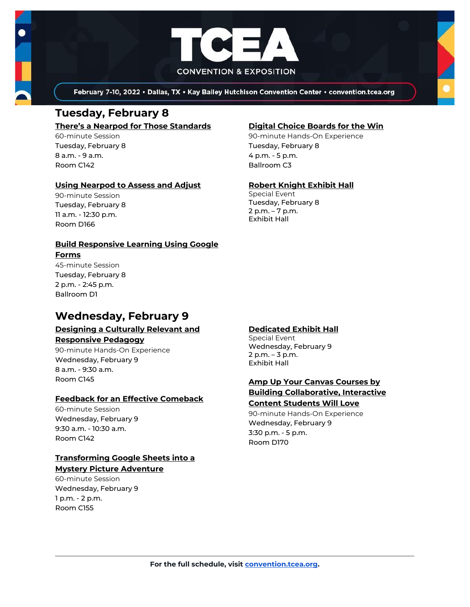

February 7-10, 2022 . Dallas, TX . Kay Bailey Hutchison Convention Center . convention.tcea.org

# **Tuesday, February 8**

#### **[There's a Nearpod for Those Standards](https://register.tcea.org/2022/session_list.cfm?session_key=024327D6-F04D-A206-2B64-2A661074C10A&session_date=Tuesday,%20Feb%2008,%202022)**

60-minute Session Tuesday, February 8 8 a.m. - 9 a.m. Room C142

#### **[Using Nearpod to Assess and Adjust](https://register.tcea.org/2022/session_list.cfm?session_key=0244AD70-F04D-A206-2B64-03D604AD463F&session_date=Tuesday,%20Feb%2008,%202022)**

90-minute Session Tuesday, February 8 11 a.m. - 12:30 p.m. Room D166

#### **[Build Responsive Learning Using Google](https://register.tcea.org/2022/session_list.cfm?session_key=02327062-F04D-A206-2B64-ECEB492E7E75&session_date=Tuesday,%20Feb%2008,%202022)  [Forms](https://register.tcea.org/2022/session_list.cfm?session_key=02327062-F04D-A206-2B64-ECEB492E7E75&session_date=Tuesday,%20Feb%2008,%202022)** 45-minute Session

Tuesday, February 8 2 p.m. - 2:45 p.m. Ballroom D1

## **Wednesday, February 9**

## **[Designing a Culturally Relevant and](https://register.tcea.org/2022/session_list.cfm?session_key=61A1FC34-F04D-A206-2B64-00D3F0499C75&session_date=Wednesday,%20Feb%2009,%202022)**

**[Responsive Pedagogy](https://register.tcea.org/2022/session_list.cfm?session_key=61A1FC34-F04D-A206-2B64-00D3F0499C75&session_date=Wednesday,%20Feb%2009,%202022)**

90-minute Hands-On Experience Wednesday, February 9 8 a.m. - 9:30 a.m. Room C145

#### **[Feedback for an Effective Comeback](https://register.tcea.org/2022/session_list.cfm?session_key=0237997E-F04D-A206-2B64-422BE7ECA8D7&session_date=Wednesday,%20Feb%2009,%202022)**

60-minute Session Wednesday, February 9 9:30 a.m. - 10:30 a.m. Room C142

#### **[Transforming Google Sheets into a](https://register.tcea.org/2022/session_list.cfm?session_key=02438C04-F04D-A206-2B64-BE1E082240D8&session_date=Wednesday,%20Feb%2009,%202022)  [Mystery Picture Adventure](https://register.tcea.org/2022/session_list.cfm?session_key=02438C04-F04D-A206-2B64-BE1E082240D8&session_date=Wednesday,%20Feb%2009,%202022)**

60-minute Session Wednesday, February 9 1 p.m. - 2 p.m. Room C155

#### **[Digital Choice Boards for the Win](https://register.tcea.org/2022/session_list.cfm?session_key=0235F4F5-F04D-A206-2B64-92FB0240DEF6&session_date=Tuesday,%20Feb%2008,%202022)**

90-minute Hands-On Experience Tuesday, February 8 4 p.m. - 5 p.m. Ballroom C3

#### **[Robert Knight Exhibit Hall](https://register.tcea.org/2022/session_list.cfm?session_key=61CDF249-F04D-A206-2B64-15D6559D2515&session_date=Tuesday,%20Feb%2008,%202022)**

Special Event Tuesday, February 8 2 p.m. – 7 p.m. Exhibit Hall

#### **[Dedicated Exhibit Hall](https://register.tcea.org/2022/session_list.cfm?session_key=61CDD8E6-F04D-A206-2B64-74AAAD8173D7&session_date=Wednesday,%20Feb%2009,%202022)**

Special Event Wednesday, February 9 2 p.m. – 3 p.m. Exhibit Hall

### **[Amp Up Your Canvas Courses by](https://register.tcea.org/2022/session_list.cfm?session_key=023089EE-F04D-A206-2B64-4F81AA0D3702&session_date=Wednesday,%20Feb%2009,%202022)  [Building Collaborative, Interactive](https://register.tcea.org/2022/session_list.cfm?session_key=023089EE-F04D-A206-2B64-4F81AA0D3702&session_date=Wednesday,%20Feb%2009,%202022)  [Content Students Will Love](https://register.tcea.org/2022/session_list.cfm?session_key=023089EE-F04D-A206-2B64-4F81AA0D3702&session_date=Wednesday,%20Feb%2009,%202022)**

90-minute Hands-On Experience Wednesday, February 9 3:30 p.m. - 5 p.m. Room D170